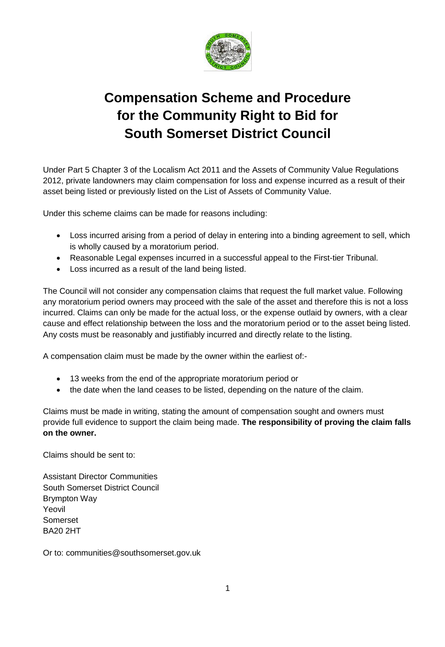

## **Compensation Scheme and Procedure for the Community Right to Bid for South Somerset District Council**

Under Part 5 Chapter 3 of the Localism Act 2011 and the Assets of Community Value Regulations 2012, private landowners may claim compensation for loss and expense incurred as a result of their asset being listed or previously listed on the List of Assets of Community Value.

Under this scheme claims can be made for reasons including:

- Loss incurred arising from a period of delay in entering into a binding agreement to sell, which is wholly caused by a moratorium period.
- Reasonable Legal expenses incurred in a successful appeal to the First-tier Tribunal.
- Loss incurred as a result of the land being listed.

The Council will not consider any compensation claims that request the full market value. Following any moratorium period owners may proceed with the sale of the asset and therefore this is not a loss incurred. Claims can only be made for the actual loss, or the expense outlaid by owners, with a clear cause and effect relationship between the loss and the moratorium period or to the asset being listed. Any costs must be reasonably and justifiably incurred and directly relate to the listing.

A compensation claim must be made by the owner within the earliest of:-

- 13 weeks from the end of the appropriate moratorium period or
- the date when the land ceases to be listed, depending on the nature of the claim.

Claims must be made in writing, stating the amount of compensation sought and owners must provide full evidence to support the claim being made. **The responsibility of proving the claim falls on the owner.**

Claims should be sent to:

Assistant Director Communities South Somerset District Council Brympton Way Yeovil Somerset BA20 2HT

Or to: communities@southsomerset.gov.uk